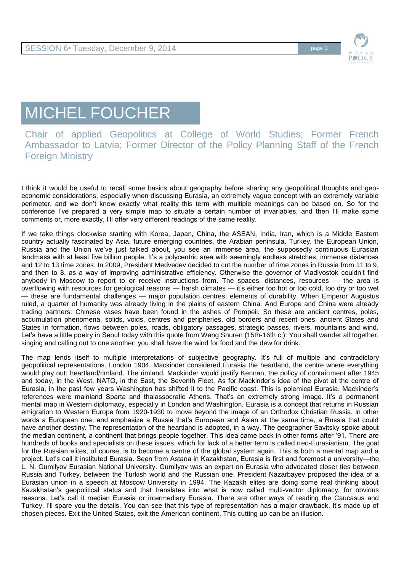

## MICHEL FOUCHER

Chair of applied Geopolitics at College of World Studies; Former French Ambassador to Latvia; Former Director of the Policy Planning Staff of the French Foreign Ministry

I think it would be useful to recall some basics about geography before sharing any geopolitical thoughts and geoeconomic considerations, especially when discussing Eurasia, an extremely vague concept with an extremely variable perimeter, and we don't know exactly what reality this term with multiple meanings can be based on. So for the conference I've prepared a very simple map to situate a certain number of invariables, and then I'll make some comments or, more exactly, I'll offer very different readings of the same reality.

If we take things clockwise starting with Korea, Japan, China, the ASEAN, India, Iran, which is a Middle Eastern country actually fascinated by Asia, future emerging countries, the Arabian peninsula, Turkey, the European Union, Russia and the Union we've just talked about, you see an immense area, the supposedly continuous Eurasian landmass with at least five billion people. It's a polycentric area with seemingly endless stretches, immense distances and 12 to 13 time zones. In 2009, President Medvedev decided to cut the number of time zones in Russia from 11 to 9, and then to 8, as a way of improving administrative efficiency. Otherwise the governor of Vladivostok couldn't find anybody in Moscow to report to or receive instructions from. The spaces, distances, resources — the area is overflowing with resources for geological reasons — harsh climates — it's either too hot or too cold, too dry or too wet — these are fundamental challenges — major population centres, elements of durability. When Emperor Augustus ruled, a quarter of humanity was already living in the plains of eastern China. And Europe and China were already trading partners: Chinese vases have been found in the ashes of Pompeii. So these are ancient centres, poles, accumulation phenomena, solids, voids, centres and peripheries, old borders and recent ones, ancient States and States in formation, flows between poles, roads, obligatory passages, strategic passes, rivers, mountains and wind. Let's have a little poetry in Seoul today with this quote from Wang Shuren (15th-16th c.): You shall wander all together, singing and calling out to one another; you shall have the wind for food and the dew for drink.

The map lends itself to multiple interpretations of subjective geography. It's full of multiple and contradictory geopolitical representations. London 1904. Mackinder considered Eurasia the heartland, the centre where everything would play out: heartland/rimland. The rimland, Mackinder would justify Kennan, the policy of containment after 1945 and today, in the West, NATO, in the East, the Seventh Fleet. As for Mackinder's idea of the pivot at the centre of Eurasia, in the past few years Washington has shifted it to the Pacific coast. This is polemical Eurasia. Mackinder's references were mainland Sparta and thalassocratic Athens. That's an extremely strong image. It's a permanent mental map in Western diplomacy, especially in London and Washington. Eurasia is a concept that returns in Russian emigration to Western Europe from 1920-1930 to move beyond the image of an Orthodox Christian Russia, in other words a European one, and emphasize a Russia that's European and Asian at the same time, a Russia that could have another destiny. The representation of the heartland is adopted, in a way. The geographer Savitsky spoke about the median continent, a continent that brings people together. This idea came back in other forms after '91. There are hundreds of books and specialists on these issues, which for lack of a better term is called neo-Eurasianism. The goal for the Russian elites, of course, is to become a centre of the global system again. This is both a mental map and a project. Let's call it instituted Eurasia. Seen from Astana in Kazakhstan, Eurasia is first and foremost a university—the L. N. Gumilyov Eurasian National University. Gumilyov was an expert on Eurasia who advocated closer ties between Russia and Turkey, between the Turkish world and the Russian one. President Nazarbayev proposed the idea of a Eurasian union in a speech at Moscow University in 1994. The Kazakh elites are doing some real thinking about Kazakhstan's geopolitical status and that translates into what is now called multi-vector diplomacy, for obvious reasons. Let's call it median Eurasia or intermediary Eurasia. There are other ways of reading the Caucasus and Turkey. I'll spare you the details. You can see that this type of representation has a major drawback. It's made up of chosen pieces. Exit the United States, exit the American continent. This cutting up can be an illusion.